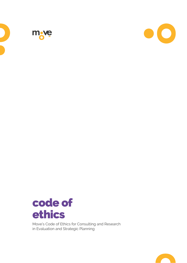





Move's Code of Ethics for Consulting and Research in Evaluation and Strategic Planning

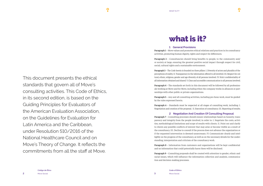This document presents the ethical standards that govern all of Move's consulting activities. This Code of Ethics, in its second edition, is based on the Guiding Principles for Evaluators of the American Evaluation Association, on the Guidelines for Evaluation for Latin America and the Caribbean, under Resolution 510/2016 of the National Healthcare Council and on Move's Theory of Change. It reflects the commitments from all the staff at Move.

**O** 

#### **1 General Provisions**

**Paragraph 1** – Move values and promotes ethical relations and practices in its consultancy activities, promoting human dignity, rights and respect for differences.

**Paragraph 2** – Consultancies should bring benefits to people, to the community and/ or society at large, ensuring the greatest positive social impact through respect for civil, social, cultural rights and a sustainable environment.

**Paragraph 3** – The Code herein is founded on three pillars: I. Diversity of actors and plurality of the perceptions of reality. II. Transparency in the information offered to all involved. III. Respect for cultural, ethnic, religious, gender and age diversity of all persons involved. IV. Strict confidentiality of all information obtained and shared. V. Clear and accessible communication to all persons involved.

**Paragraph 4** – The standards set forth in this document will be followed by all professionals working at Move and for Move, including when the company works in alliances or partnerships with other public or private organizations.

**Paragraph 5** – Any and all consulting activities, including pro-bono work, must be guided by the rules expressed herein.

**Paragraph 6** – Standards must be respected at all stages of consulting work, including: I. Negotiation and creation of the proposal. II. Execution of consultancy. III. Reporting of results.

# **2 Negotiation And Creation Of Consulting Proposal**

**Paragraph 7** – Consulting processes should ensure relationships based on honesty, transparency and integrity from the people involved, in order to: I. Negotiate the costs, activities, methodological limitations and scope of results with clients. II. Point out and clarify to clients any possible conflicts of interest that may arise or become visible as a result of the consultancy. III. Decline to consult if the process does not advance the organization or if the requested intervention is deemed unnecessary. IV. Communicate clearly and intelligibly on the progress of the consultancy, as well as on the necessary details for the understanding, interpretation and criticism of the consultancy work.

**Paragraph 8** – Information from customers and organizations will be kept confidential and no information that could potentially harm them will be disclosed.

**Paragraph 9** – Consulting proposals shall be created with attention to gender, ethnic and racial issues, which will influence the information collection and analysis, communication and decision-making processes.



**Código de Ética** Move Social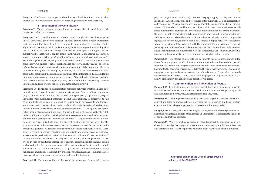**Paragraph 10** – Consultancy proposals should respect the different actors involved in order to seek interventions that balance technical diligence and political sensitivity.

### **3 Execution of the Consultancy**

**Paragraph 11** – The execution of the consultancy must ensure the safety and dignity of all people involved in the processes.

**Paragraph 12** – Data and information collection should comply with the following guidelines: I. Ensure that people who represent different groups, points of view, hierarchical positions and interests are heard, so as to provide elements for the consultancy to triangulate information and avoid unilateral analysis. II. Ensure quantitative and qualitative instruments and methods of analysis that observe and respect cultural, physical and subjective differences such as gender, gender identity, physical and mental disability, age, sexual orientation, religion, social standing, color, race and ethnicity of participants. III. Ensure that persons participating in data collection activities - such as individual and group interviews, printed or digital questionnaires, or observation of activities - do so with informed consent and awareness, with proper understanding of the nature and objectives of the consultancy, the contracting organizations, and that they are involved and interested in the results and the confidential treatment of the information. IV. Search for the most appropriate ways to communicate the results of the evaluation, diagnosis and studies to the information collecting public, always with the intention of expanding access to information and empowering the actors and organizations involved.

**Paragraph 13** – Participation in information gathering activities, whether images, questionnaires, interviews, will always be voluntary at any stage of the consultancy and should only occur after the free and informed consent of the people or groups involved, respecting the following guidelines: I. Information about the consultancy, its objectives, its stages, its products and its contractors must be transmitted in an accessible and transparent manner so that the participant understands it and can deliberately and freely express their willingness to participate, or even refuse participation. II. The right to free participation should also include minors under the age of 18 (consent), insofar as they have full understanding and provided their singularities are respected, ensuring the right of young children not to participate in the proposed activities. III. Any collection of data, information and images of individuals under the age of 18 must be expressly authorized by the legal guardian(s). In these cases, assent does not supersede the need for consent from the responsible guardian. IV. Research conducted within schools, healthcare facilities, social service agencies, public safety institutions and private and public spaces with limited access must be previously authorized by the director/coordinator of these institutions. V. In communities with cultures that recognizes the authority of a lead person or a collective body, such as traditional, indigenous or religious communities, for example, getting authorization for the survey must respect this particularity, without prejudice to individual consent. VI. Commitment from the people involved in the research not to create, maintain or amplify risk or vulnerability situations for individuals and communities, or to harm participants, nor accentuate stigma, prejudice or discrimination.

**Paragraph 14** – The Informed Consent Terms and the instruments for data collection, in

physical or digital format shall specify: I. Name of the program, project, policy and contracting client. II. Justification, goals and procedures of the survey. III. Data and information collection period. IV. Name and contact information of the people responsible for the consultancy. V. Potential risks and harm to participants VI. In the case of non-literate participants, other forms of approval shall be used, such as fingerprints or oral recordings stating their agreement to participate. VII. When participants have visual, hearing or physical disabilities, adaptations should be made to allow for their participation without compromising access to information, and there should be assurance of appropriate access to locations where the activities will be performed. VIII. The confidentiality and privacy of the participants regarding their confidential data, ensuring that their name will not be disclosed or linked to any information, other than as stated in the Informed Consent Form. IX. Possible forms of reimbursement of expenses arising from participation in the research.

**Paragraph 15** – The storage of materials and documents, such as questionnaires, interviews, focus groups, etc., should observe a minimum period according to their type and importance as per the following criteria: Printed materials must remain archived for up to 2 years after the consultancy is considered closed. II. Digital materials such as audios, photographs, transcripts, and field reports must be archived for up to 10 years after the consultancy is considered closed. III. Final reports and infographics in digital format should be archived indefinitely and considered as part of Move's library.

# **4 Communication and Publication of Results**

**Paragraph 16** – In order to strengthen practices and solutions for positive social impact in Brazil, Move reaffirms its commitment to the dissemination of knowledge through articles, seminars and interviews resulting from its consultancy work.

**Paragraph 17** – Client organizations should be consulted regarding the use of consulting content and logos to produce articles, interviews, papers, magazine and book chapters, external and internal reports, posters and other communication materials

**Paragraph 18** – To strengthen civil society organizations, Move will encourage its clients to share knowledge resulting from consultancies, in a format that is accessible to the group or population that was surveyed.

**Paragraph 19** – When the methodological contents and results of the consultancies are disclosed in knowledge sharing spaces, Move is exempt from paying any disclosure fees, patents or royalties and is solely required to obtain the client's authorization for this purpose.

> **This second edition of the Code of Ethics will be in effect as of Apr/04/2017**